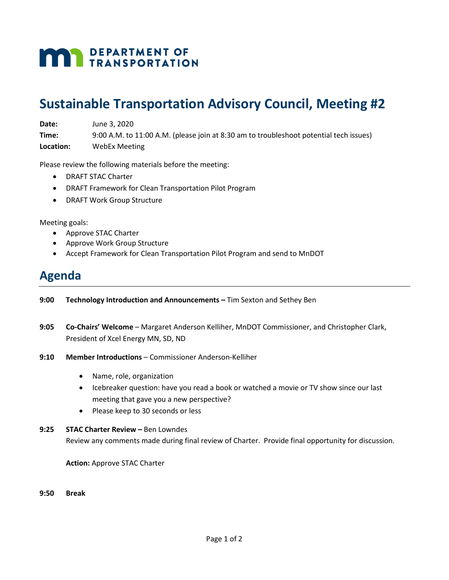# **MAN** DEPARTMENT OF

### **Sustainable Transportation Advisory Council, Meeting #2**

**Date:** June 3, 2020

**Time:** 9:00 A.M. to 11:00 A.M. (please join at 8:30 am to troubleshoot potential tech issues) **Location:** WebEx Meeting

Please review the following materials before the meeting:

- DRAFT STAC Charter
- DRAFT Framework for Clean Transportation Pilot Program
- DRAFT Work Group Structure

Meeting goals:

- Approve STAC Charter
- Approve Work Group Structure
- Accept Framework for Clean Transportation Pilot Program and send to MnDOT

### **Agenda**

- **9:00 Technology Introduction and Announcements –** Tim Sexton and Sethey Ben
- **9:05 Co-Chairs' Welcome**  Margaret Anderson Kelliher, MnDOT Commissioner, and Christopher Clark, President of Xcel Energy MN, SD, ND
- **9:10 Member Introductions**  Commissioner Anderson-Kelliher
	- Name, role, organization
	- Icebreaker question: have you read a book or watched a movie or TV show since our last meeting that gave you a new perspective?
	- Please keep to 30 seconds or less
- **9:25 STAC Charter Review –** Ben Lowndes Review any comments made during final review of Charter. Provide final opportunity for discussion.

**Action:** Approve STAC Charter

**9:50 Break**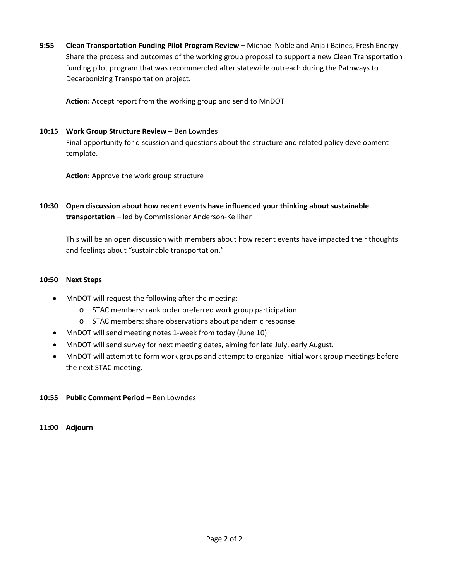**9:55 Clean Transportation Funding Pilot Program Review –** Michael Noble and Anjali Baines, Fresh Energy Share the process and outcomes of the working group proposal to support a new Clean Transportation funding pilot program that was recommended after statewide outreach during the Pathways to Decarbonizing Transportation project.

**Action:** Accept report from the working group and send to MnDOT

#### 10:15 **Work Group Structure Review - Ben Lowndes**

Final opportunity for discussion and questions about the structure and related policy development template.

**Action:** Approve the work group structure

**10:30 Open discussion about how recent events have influenced your thinking about sustainable transportation –** led by Commissioner Anderson-Kelliher

This will be an open discussion with members about how recent events have impacted their thoughts and feelings about "sustainable transportation."

#### **10:50 Next Steps**

- MnDOT will request the following after the meeting:
	- o STAC members: rank order preferred work group participation
	- o STAC members: share observations about pandemic response
- MnDOT will send meeting notes 1-week from today (June 10)
- MnDOT will send survey for next meeting dates, aiming for late July, early August.
- MnDOT will attempt to form work groups and attempt to organize initial work group meetings before the next STAC meeting.
- **10:55 Public Comment Period –** Ben Lowndes

**11:00 Adjourn**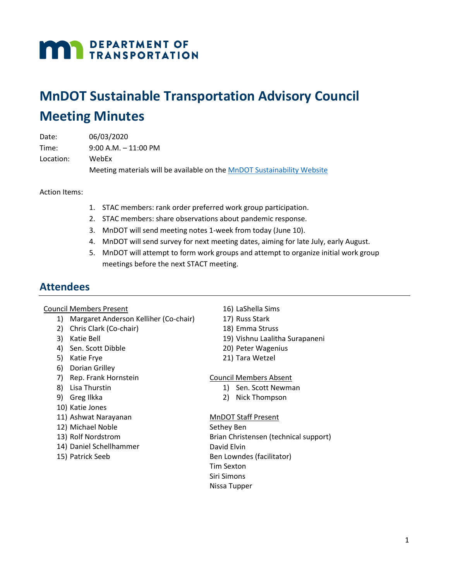# **MAN** DEPARTMENT OF

### **MnDOT Sustainable Transportation Advisory Council Meeting Minutes**

| Date:     | 06/03/2020                                                              |
|-----------|-------------------------------------------------------------------------|
| Time:     | $9:00$ A.M. $-11:00$ PM                                                 |
| Location: | WebEx                                                                   |
|           | Meeting materials will be available on the MnDOT Sustainability Website |

Action Items:

- 1. STAC members: rank order preferred work group participation.
- 2. STAC members: share observations about pandemic response.
- 3. MnDOT will send meeting notes 1-week from today (June 10).
- 4. MnDOT will send survey for next meeting dates, aiming for late July, early August.
- 5. MnDOT will attempt to form work groups and attempt to organize initial work group meetings before the next STACT meeting.

### **Attendees**

#### Council Members Present

- 1) Margaret Anderson Kelliher (Co-chair)
- 2) Chris Clark (Co-chair)
- 3) Katie Bell
- 4) Sen. Scott Dibble
- 5) Katie Frye
- 6) Dorian Grilley
- 7) Rep. Frank Hornstein
- 8) Lisa Thurstin
- 9) Greg Ilkka
- 10) Katie Jones
- 11) Ashwat Narayanan
- 12) Michael Noble
- 13) Rolf Nordstrom
- 14) Daniel Schellhammer
- 15) Patrick Seeb
- 16) LaShella Sims
- 17) Russ Stark
- 18) Emma Struss
- 19) Vishnu Laalitha Surapaneni
- 20) Peter Wagenius
- 21) Tara Wetzel

#### Council Members Absent

- 1) Sen. Scott Newman
- 2) Nick Thompson

#### MnDOT Staff Present

Sethey Ben Brian Christensen (technical support) David Elvin Ben Lowndes (facilitator) Tim Sexton Siri Simons Nissa Tupper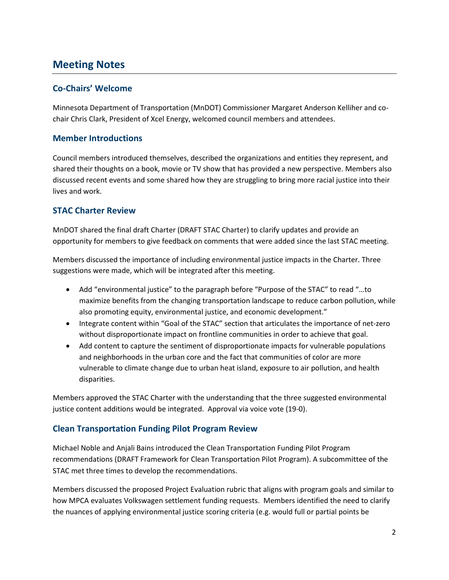### **Meeting Notes**

#### **Co-Chairs' Welcome**

Minnesota Department of Transportation (MnDOT) Commissioner Margaret Anderson Kelliher and cochair Chris Clark, President of Xcel Energy, welcomed council members and attendees.

#### **Member Introductions**

Council members introduced themselves, described the organizations and entities they represent, and shared their thoughts on a book, movie or TV show that has provided a new perspective. Members also discussed recent events and some shared how they are struggling to bring more racial justice into their lives and work.

#### **STAC Charter Review**

MnDOT shared the final draft Charter (DRAFT STAC Charter) to clarify updates and provide an opportunity for members to give feedback on comments that were added since the last STAC meeting.

Members discussed the importance of including environmental justice impacts in the Charter. Three suggestions were made, which will be integrated after this meeting.

- Add "environmental justice" to the paragraph before "Purpose of the STAC" to read "…to maximize benefits from the changing transportation landscape to reduce carbon pollution, while also promoting equity, environmental justice, and economic development."
- Integrate content within "Goal of the STAC" section that articulates the importance of net-zero without disproportionate impact on frontline communities in order to achieve that goal.
- Add content to capture the sentiment of disproportionate impacts for vulnerable populations and neighborhoods in the urban core and the fact that communities of color are more vulnerable to climate change due to urban heat island, exposure to air pollution, and health disparities.

Members approved the STAC Charter with the understanding that the three suggested environmental justice content additions would be integrated. Approval via voice vote (19-0).

### **Clean Transportation Funding Pilot Program Review**

Michael Noble and Anjali Bains introduced the Clean Transportation Funding Pilot Program recommendations (DRAFT Framework for Clean Transportation Pilot Program). A subcommittee of the STAC met three times to develop the recommendations.

Members discussed the proposed Project Evaluation rubric that aligns with program goals and similar to how MPCA evaluates Volkswagen settlement funding requests. Members identified the need to clarify the nuances of applying environmental justice scoring criteria (e.g. would full or partial points be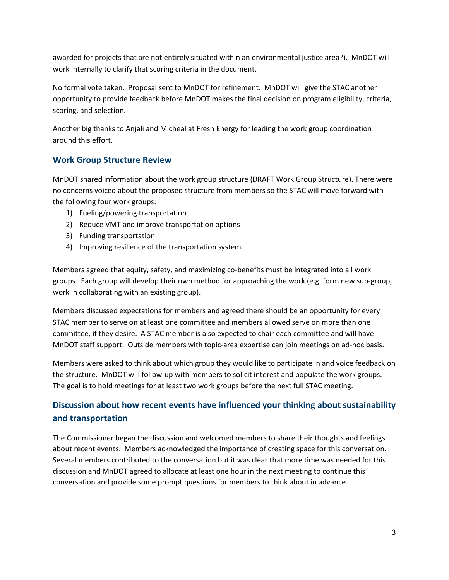awarded for projects that are not entirely situated within an environmental justice area?). MnDOT will work internally to clarify that scoring criteria in the document.

No formal vote taken. Proposal sent to MnDOT for refinement. MnDOT will give the STAC another opportunity to provide feedback before MnDOT makes the final decision on program eligibility, criteria, scoring, and selection.

Another big thanks to Anjali and Micheal at Fresh Energy for leading the work group coordination around this effort.

#### **Work Group Structure Review**

MnDOT shared information about the work group structure (DRAFT Work Group Structure). There were no concerns voiced about the proposed structure from members so the STAC will move forward with the following four work groups:

- 1) Fueling/powering transportation
- 2) Reduce VMT and improve transportation options
- 3) Funding transportation
- 4) Improving resilience of the transportation system.

Members agreed that equity, safety, and maximizing co-benefits must be integrated into all work groups. Each group will develop their own method for approaching the work (e.g. form new sub-group, work in collaborating with an existing group).

Members discussed expectations for members and agreed there should be an opportunity for every STAC member to serve on at least one committee and members allowed serve on more than one committee, if they desire. A STAC member is also expected to chair each committee and will have MnDOT staff support. Outside members with topic-area expertise can join meetings on ad-hoc basis.

Members were asked to think about which group they would like to participate in and voice feedback on the structure. MnDOT will follow-up with members to solicit interest and populate the work groups. The goal is to hold meetings for at least two work groups before the next full STAC meeting.

### **Discussion about how recent events have influenced your thinking about sustainability and transportation**

The Commissioner began the discussion and welcomed members to share their thoughts and feelings about recent events. Members acknowledged the importance of creating space for this conversation. Several members contributed to the conversation but it was clear that more time was needed for this discussion and MnDOT agreed to allocate at least one hour in the next meeting to continue this conversation and provide some prompt questions for members to think about in advance.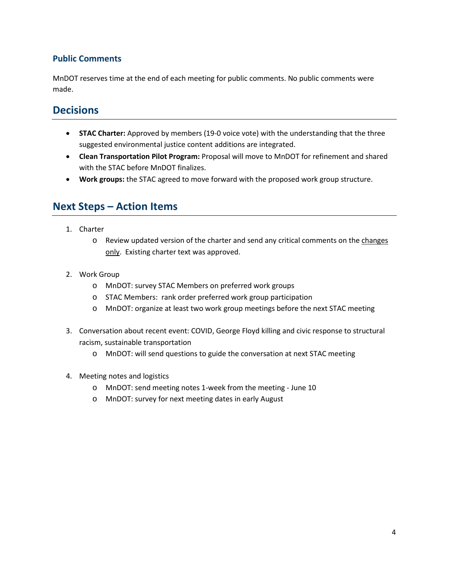#### **Public Comments**

MnDOT reserves time at the end of each meeting for public comments. No public comments were made.

### **Decisions**

- **STAC Charter:** Approved by members (19-0 voice vote) with the understanding that the three suggested environmental justice content additions are integrated.
- **Clean Transportation Pilot Program:** Proposal will move to MnDOT for refinement and shared with the STAC before MnDOT finalizes.
- **Work groups:** the STAC agreed to move forward with the proposed work group structure.

### **Next Steps – Action Items**

- 1. Charter
	- o Review updated version of the charter and send any critical comments on the changes only. Existing charter text was approved.
- 2. Work Group
	- o MnDOT: survey STAC Members on preferred work groups
	- o STAC Members: rank order preferred work group participation
	- o MnDOT: organize at least two work group meetings before the next STAC meeting
- 3. Conversation about recent event: COVID, George Floyd killing and civic response to structural racism, sustainable transportation
	- o MnDOT: will send questions to guide the conversation at next STAC meeting
- 4. Meeting notes and logistics
	- o MnDOT: send meeting notes 1-week from the meeting June 10
	- o MnDOT: survey for next meeting dates in early August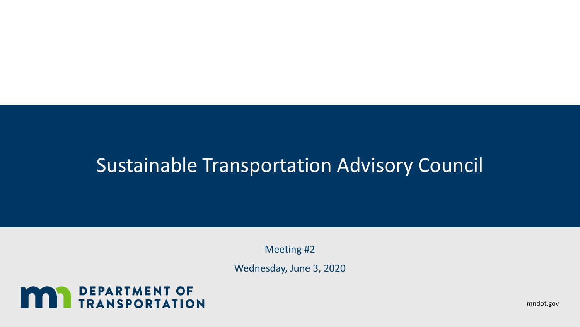# Sustainable Transportation Advisory Council

Meeting #2

Wednesday, June 3, 2020



mndot.gov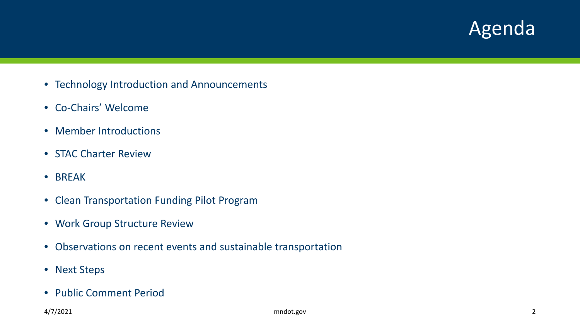### Agenda

- Technology Introduction and Announcements
- Co-Chairs' Welcome
- Member Introductions
- STAC Charter Review
- BREAK
- Clean Transportation Funding Pilot Program
- Work Group Structure Review
- Observations on recent events and sustainable transportation
- Next Steps
- Public Comment Period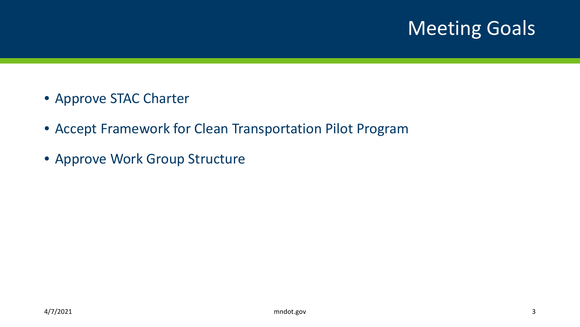# Meeting Goals

- Approve STAC Charter
- Accept Framework for Clean Transportation Pilot Program
- Approve Work Group Structure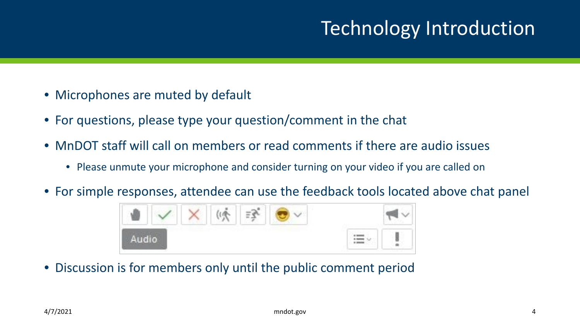# Technology Introduction

- Microphones are muted by default
- For questions, please type your question/comment in the chat
- MnDOT staff will call on members or read comments if there are audio issues
	- Please unmute your microphone and consider turning on your video if you are called on
- For simple responses, attendee can use the feedback tools located above chat panel



• Discussion is for members only until the public comment period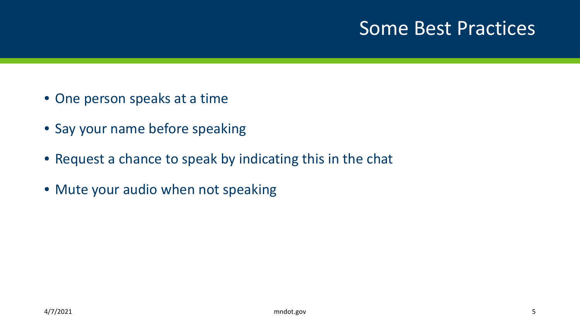### Some Best Practices

- One person speaks at a time
- Say your name before speaking
- Request a chance to speak by indicating this in the chat
- Mute your audio when not speaking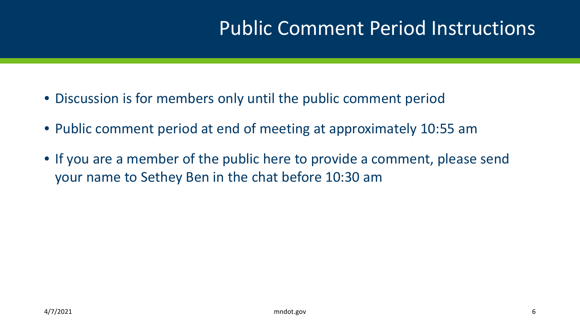# Public Comment Period Instructions

- Discussion is for members only until the public comment period
- Public comment period at end of meeting at approximately 10:55 am
- If you are a member of the public here to provide a comment, please send your name to Sethey Ben in the chat before 10:30 am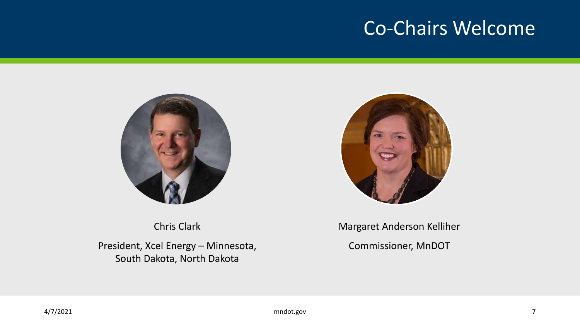### Co-Chairs Welcome





Chris Clark

President, Xcel Energy – Minnesota, South Dakota, North Dakota

Margaret Anderson Kelliher

Commissioner, MnDOT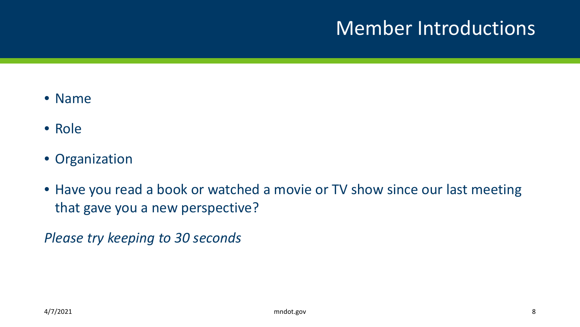# Member Introductions

- Name
- Role
- Organization
- Have you read a book or watched a movie or TV show since our last meeting that gave you a new perspective?

*Please try keeping to 30 seconds*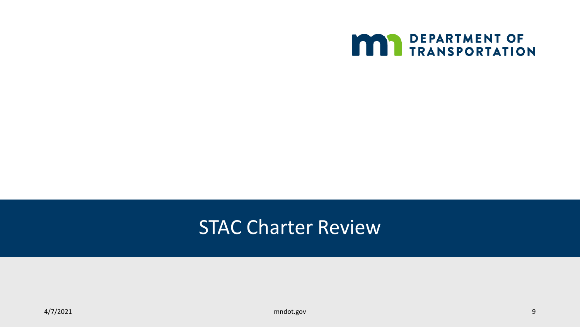

### STAC Charter Review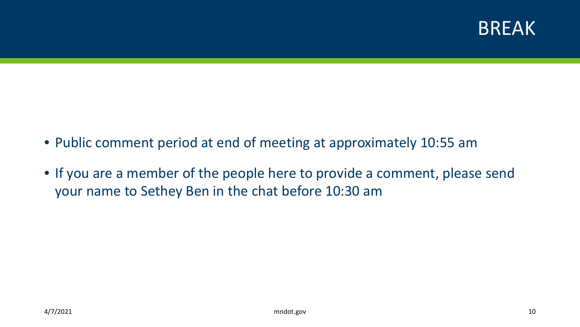

- Public comment period at end of meeting at approximately 10:55 am
- If you are a member of the people here to provide a comment, please send your name to Sethey Ben in the chat before 10:30 am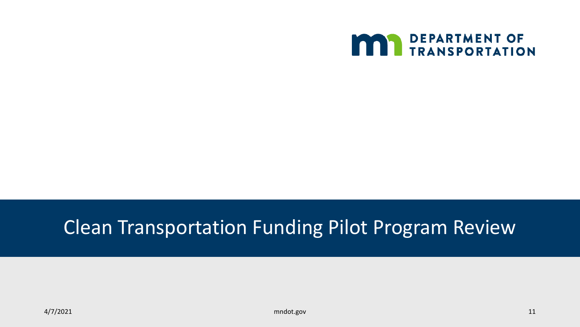

# Clean Transportation Funding Pilot Program Review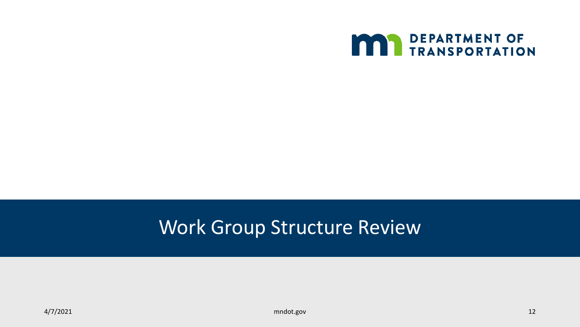

# Work Group Structure Review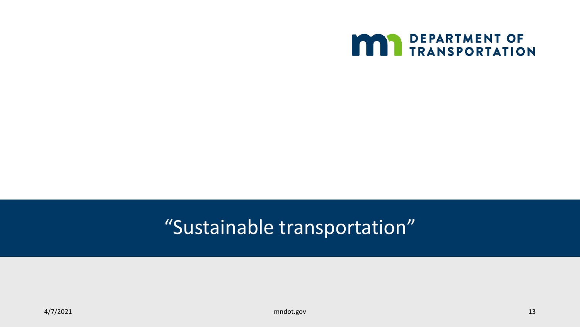

# "Sustainable transportation"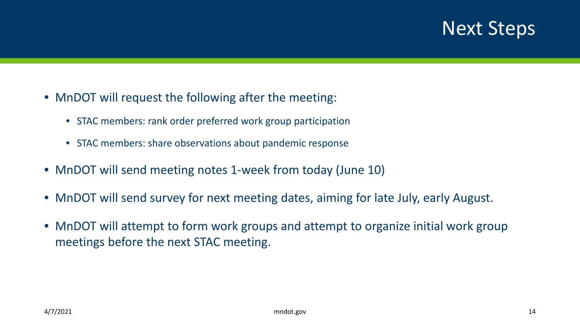### Next Steps

- MnDOT will request the following after the meeting:
	- STAC members: rank order preferred work group participation
	- STAC members: share observations about pandemic response
- MnDOT will send meeting notes 1-week from today (June 10)
- MnDOT will send survey for next meeting dates, aiming for late July, early August.
- MnDOT will attempt to form work groups and attempt to organize initial work group meetings before the next STAC meeting.